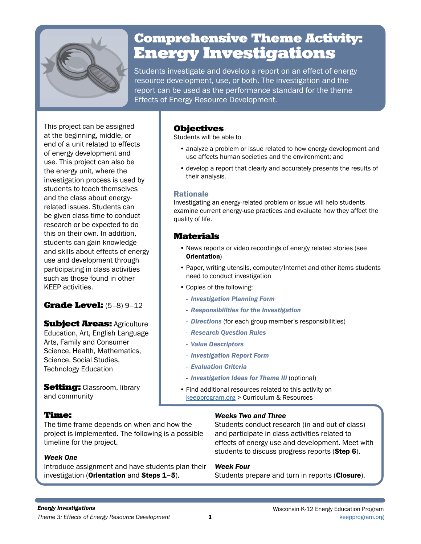

# Comprehensive Theme Activity: Energy Investigations

Students investigate and develop a report on an effect of energy resource development, use, or both. The investigation and the report can be used as the performance standard for the theme Effects of Energy Resource Development.

This project can be assigned at the beginning, middle, or end of a unit related to effects of energy development and use. This project can also be the energy unit, where the investigation process is used by students to teach themselves and the class about energyrelated issues. Students can be given class time to conduct research or be expected to do this on their own. In addition, students can gain knowledge and skills about effects of energy use and development through participating in class activities such as those found in other KEEP activities.

# Grade Level: (5–8) 9–12

**Subject Areas: Agriculture** Education, Art, English Language Arts, Family and Consumer Science, Health, Mathematics, Science, Social Studies, Technology Education

**Setting:** Classroom, library and community

# Time:

The time frame depends on when and how the project is implemented. The following is a possible timeline for the project.

# *Week One*

Introduce assignment and have students plan their investigation (Orientation and Steps 1–5).

# Objectives

Students will be able to

- analyze a problem or issue related to how energy development and use affects human societies and the environment; and
- develop a report that clearly and accurately presents the results of their analysis.

#### Rationale

Investigating an energy-related problem or issue will help students examine current energy-use practices and evaluate how they affect the quality of life.

# Materials

- News reports or video recordings of energy related stories (see Orientation)
- Paper, writing utensils, computer/Internet and other items students need to conduct investigation
- Copies of the following:
	- *Investigation Planning Form*
- *Responsibilities for the Investigation*
- *Directions* (for each group member's responsibilities)
- *Research Question Rules*
- *Value Descriptors*
- *Investigation Report Form*
- *Evaluation Criteria*
- *Investigation Ideas for Theme III* (optional)
- Find additional resources related to this activity on keepprogram.org > Curriculum & Resources

# *Weeks Two and Three*

Students conduct research (in and out of class) and participate in class activities related to effects of energy use and development. Meet with students to discuss progress reports (**Step 6**).

### *Week Four*

Students prepare and turn in reports (Closure).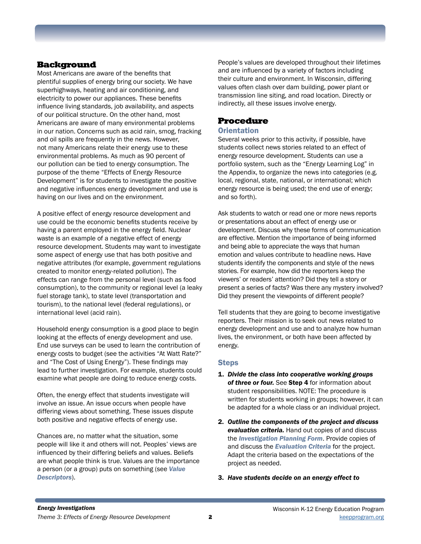# **Background**

Most Americans are aware of the benefits that plentiful supplies of energy bring our society. We have superhighways, heating and air conditioning, and electricity to power our appliances. These benefits influence living standards, job availability, and aspects of our political structure. On the other hand, most Americans are aware of many environmental problems in our nation. Concerns such as acid rain, smog, fracking and oil spills are frequently in the news. However, not many Americans relate their energy use to these environmental problems. As much as 90 percent of our pollution can be tied to energy consumption. The purpose of the theme "Effects of Energy Resource Development" is for students to investigate the positive and negative influences energy development and use is having on our lives and on the environment.

A positive effect of energy resource development and use could be the economic benefits students receive by having a parent employed in the energy field. Nuclear waste is an example of a negative effect of energy resource development. Students may want to investigate some aspect of energy use that has both positive and negative attributes (for example, government regulations created to monitor energy-related pollution). The effects can range from the personal level (such as food consumption), to the community or regional level (a leaky fuel storage tank), to state level (transportation and tourism), to the national level (federal regulations), or international level (acid rain).

Household energy consumption is a good place to begin looking at the effects of energy development and use. End use surveys can be used to learn the contribution of energy costs to budget (see the activities "At Watt Rate?" and "The Cost of Using Energy"). These findings may lead to further investigation. For example, students could examine what people are doing to reduce energy costs.

Often, the energy effect that students investigate will involve an issue. An issue occurs when people have differing views about something. These issues dispute both positive and negative effects of energy use.

Chances are, no matter what the situation, some people will like it and others will not. Peoples' views are influenced by their differing beliefs and values. Beliefs are what people think is true. Values are the importance a person (or a group) puts on something (see *Value Descriptors*).

People's values are developed throughout their lifetimes and are influenced by a variety of factors including their culture and environment. In Wisconsin, differing values often clash over dam building, power plant or transmission line siting, and road location. Directly or indirectly, all these issues involve energy.

# Procedure

### **Orientation**

Several weeks prior to this activity, if possible, have students collect news stories related to an effect of energy resource development. Students can use a portfolio system, such as the "Energy Learning Log" in the Appendix, to organize the news into categories (e.g. local, regional, state, national, or international; which energy resource is being used; the end use of energy; and so forth).

Ask students to watch or read one or more news reports or presentations about an effect of energy use or development. Discuss why these forms of communication are effective. Mention the importance of being informed and being able to appreciate the ways that human emotion and values contribute to headline news. Have students identify the components and style of the news stories. For example, how did the reporters keep the viewers' or readers' attention? Did they tell a story or present a series of facts? Was there any mystery involved? Did they present the viewpoints of different people?

Tell students that they are going to become investigative reporters. Their mission is to seek out news related to energy development and use and to analyze how human lives, the environment, or both have been affected by energy.

### **Steps**

- 1. *Divide the class into cooperative working groups of three or four.* See Step 4 for information about student responsibilities. NOTE: The procedure is written for students working in groups; however, it can be adapted for a whole class or an individual project.
- 2. *Outline the components of the project and discuss evaluation criteria.* Hand out copies of and discuss the *Investigation Planning Form*. Provide copies of and discuss the *Evaluation Criteria* for the project. Adapt the criteria based on the expectations of the project as needed.
- 3. *Have students decide on an energy effect to*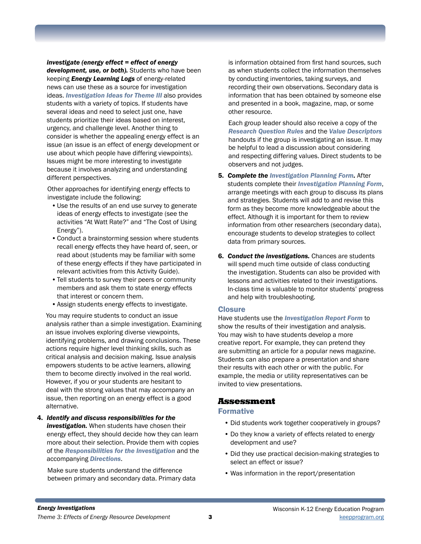*investigate (energy effect = effect of energy development, use, or both).* Students who have been keeping *Energy Learning Logs* of energy-related news can use these as a source for investigation ideas. *Investigation Ideas for Theme III* also provides students with a variety of topics. If students have several ideas and need to select just one, have students prioritize their ideas based on interest, urgency, and challenge level. Another thing to consider is whether the appealing energy effect is an issue (an issue is an effect of energy development or use about which people have differing viewpoints). Issues might be more interesting to investigate because it involves analyzing and understanding different perspectives.

Other approaches for identifying energy effects to investigate include the following:

- •Use the results of an end use survey to generate ideas of energy effects to investigate (see the activities "At Watt Rate?" and "The Cost of Using Energy").
- •Conduct a brainstorming session where students recall energy effects they have heard of, seen, or read about (students may be familiar with some of these energy effects if they have participated in relevant activities from this Activity Guide).
- •Tell students to survey their peers or community members and ask them to state energy effects that interest or concern them.
- •Assign students energy effects to investigate.

You may require students to conduct an issue analysis rather than a simple investigation. Examining an issue involves exploring diverse viewpoints, identifying problems, and drawing conclusions. These actions require higher level thinking skills, such as critical analysis and decision making. Issue analysis empowers students to be active learners, allowing them to become directly involved in the real world. However, if you or your students are hesitant to deal with the strong values that may accompany an issue, then reporting on an energy effect is a good alternative.

4. *Identify and discuss responsibilities for the investigation.* When students have chosen their energy effect, they should decide how they can learn more about their selection. Provide them with copies of the *Responsibilities for the Investigation* and the accompanying *Directions*.

Make sure students understand the difference between primary and secondary data. Primary data

is information obtained from first hand sources, such as when students collect the information themselves by conducting inventories, taking surveys, and recording their own observations. Secondary data is information that has been obtained by someone else and presented in a book, magazine, map, or some other resource.

Each group leader should also receive a copy of the *Research Question Rules* and the *Value Descriptors* handouts if the group is investigating an issue. It may be helpful to lead a discussion about considering and respecting differing values. Direct students to be observers and not judges.

- 5. *Complete the Investigation Planning Form.* After students complete their *Investigation Planning Form*, arrange meetings with each group to discuss its plans and strategies. Students will add to and revise this form as they become more knowledgeable about the effect. Although it is important for them to review information from other researchers (secondary data), encourage students to develop strategies to collect data from primary sources.
- 6. *Conduct the investigations.* Chances are students will spend much time outside of class conducting the investigation. Students can also be provided with lessons and activities related to their investigations. In-class time is valuable to monitor students' progress and help with troubleshooting.

#### **Closure**

Have students use the *Investigation Report Form* to show the results of their investigation and analysis. You may wish to have students develop a more creative report. For example, they can pretend they are submitting an article for a popular news magazine. Students can also prepare a presentation and share their results with each other or with the public. For example, the media or utility representatives can be invited to view presentations.

# Assessment

### Formative

- Did students work together cooperatively in groups?
- Do they know a variety of effects related to energy development and use?
- Did they use practical decision-making strategies to select an effect or issue?
- Was information in the report/presentation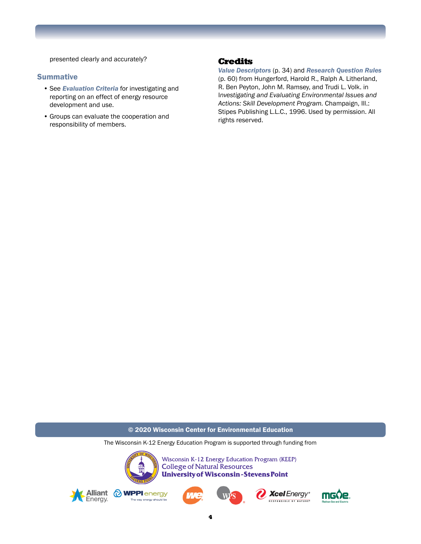presented clearly and accurately?

#### **Summative**

- See *Evaluation Criteria* for investigating and reporting on an effect of energy resource development and use.
- Groups can evaluate the cooperation and responsibility of members.

### Credits

*Value Descriptors* (p. 34) and *Research Question Rules* (p. 60) from Hungerford, Harold R., Ralph A. Litherland, R. Ben Peyton, John M. Ramsey, and Trudi L. Volk. in I*nvestigating and Evaluating Environmental Issues and Actions: Skill Development Program.* Champaign, Ill.: Stipes Publishing L.L.C., 1996. Used by permission. All rights reserved.

© 2020 Wisconsin Center for Environmental Education

The Wisconsin K-12 Energy Education Program is supported through funding from



Wisconsin K-12 Energy Education Program (KEEP) **College of Natural Resources University of Wisconsin-Stevens Point** 











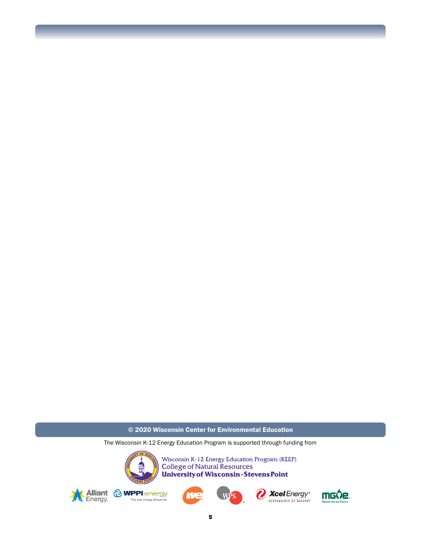#### © 2020 Wisconsin Center for Environmental Education

The Wisconsin K-12 Energy Education Program is supported through funding from

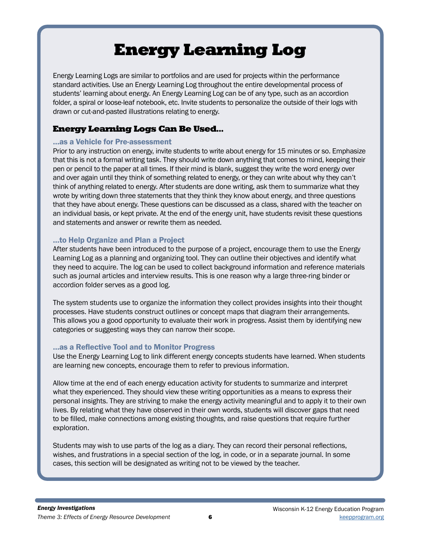# Energy Learning Log

Energy Learning Logs are similar to portfolios and are used for projects within the performance standard activities. Use an Energy Learning Log throughout the entire developmental process of students' learning about energy. An Energy Learning Log can be of any type, such as an accordion folder, a spiral or loose-leaf notebook, etc. Invite students to personalize the outside of their logs with drawn or cut-and-pasted illustrations relating to energy.

# Energy Learning Logs Can Be Used…

### …as a Vehicle for Pre-assessment

Prior to any instruction on energy, invite students to write about energy for 15 minutes or so. Emphasize that this is not a formal writing task. They should write down anything that comes to mind, keeping their pen or pencil to the paper at all times. If their mind is blank, suggest they write the word energy over and over again until they think of something related to energy, or they can write about why they can't think of anything related to energy. After students are done writing, ask them to summarize what they wrote by writing down three statements that they think they know about energy, and three questions that they have about energy. These questions can be discussed as a class, shared with the teacher on an individual basis, or kept private. At the end of the energy unit, have students revisit these questions and statements and answer or rewrite them as needed.

# …to Help Organize and Plan a Project

After students have been introduced to the purpose of a project, encourage them to use the Energy Learning Log as a planning and organizing tool. They can outline their objectives and identify what they need to acquire. The log can be used to collect background information and reference materials such as journal articles and interview results. This is one reason why a large three-ring binder or accordion folder serves as a good log.

The system students use to organize the information they collect provides insights into their thought processes. Have students construct outlines or concept maps that diagram their arrangements. This allows you a good opportunity to evaluate their work in progress. Assist them by identifying new categories or suggesting ways they can narrow their scope.

# …as a Reflective Tool and to Monitor Progress

Use the Energy Learning Log to link different energy concepts students have learned. When students are learning new concepts, encourage them to refer to previous information.

Allow time at the end of each energy education activity for students to summarize and interpret what they experienced. They should view these writing opportunities as a means to express their personal insights. They are striving to make the energy activity meaningful and to apply it to their own lives. By relating what they have observed in their own words, students will discover gaps that need to be filled, make connections among existing thoughts, and raise questions that require further exploration.

Students may wish to use parts of the log as a diary. They can record their personal reflections, wishes, and frustrations in a special section of the log, in code, or in a separate journal. In some cases, this section will be designated as writing not to be viewed by the teacher.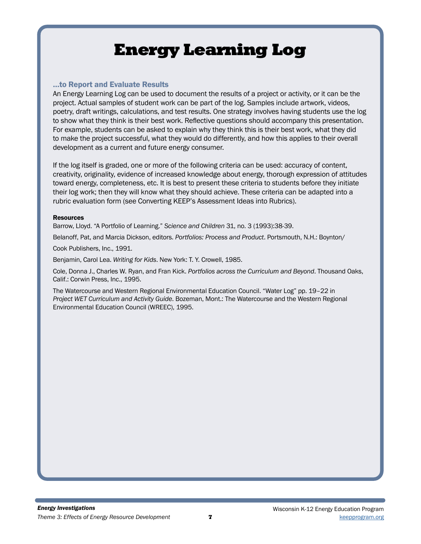# Energy Learning Log

### …to Report and Evaluate Results

An Energy Learning Log can be used to document the results of a project or activity, or it can be the project. Actual samples of student work can be part of the log. Samples include artwork, videos, poetry, draft writings, calculations, and test results. One strategy involves having students use the log to show what they think is their best work. Reflective questions should accompany this presentation. For example, students can be asked to explain why they think this is their best work, what they did to make the project successful, what they would do differently, and how this applies to their overall development as a current and future energy consumer.

If the log itself is graded, one or more of the following criteria can be used: accuracy of content, creativity, originality, evidence of increased knowledge about energy, thorough expression of attitudes toward energy, completeness, etc. It is best to present these criteria to students before they initiate their log work; then they will know what they should achieve. These criteria can be adapted into a rubric evaluation form (see Converting KEEP's Assessment Ideas into Rubrics).

#### Resources

Barrow, Lloyd. "A Portfolio of Learning." *Science and Children* 31, no. 3 (1993):38-39.

Belanoff, Pat, and Marcia Dickson, editors. *Portfolios: Process and Product*. Portsmouth, N.H.: Boynton/

Cook Publishers, Inc., 1991.

Benjamin, Carol Lea. *Writing for Kids*. New York: T. Y. Crowell, 1985.

Cole, Donna J., Charles W. Ryan, and Fran Kick. *Portfolios across the Curriculum and Beyond*. Thousand Oaks, Calif.: Corwin Press, Inc., 1995.

The Watercourse and Western Regional Environmental Education Council. "Water Log" pp. 19–22 in *Project WET Curriculum and Activity Guide*. Bozeman, Mont.: The Watercourse and the Western Regional Environmental Education Council (WREEC), 1995.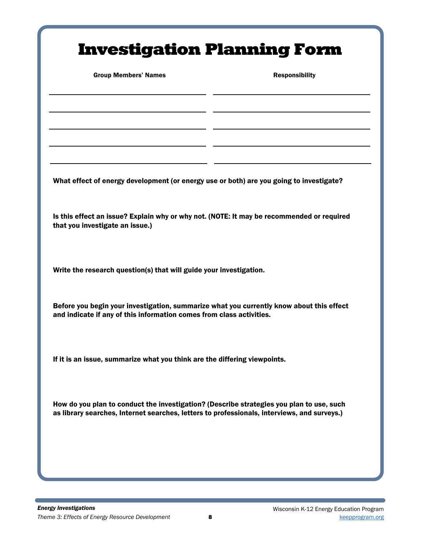# Investigation Planning Form

Group Members' Names **Responsibility** 

What effect of energy development (or energy use or both) are you going to investigate?

Is this effect an issue? Explain why or why not. (NOTE: It may be recommended or required that you investigate an issue.)

Write the research question(s) that will guide your investigation.

Before you begin your investigation, summarize what you currently know about this effect and indicate if any of this information comes from class activities.

If it is an issue, summarize what you think are the differing viewpoints.

How do you plan to conduct the investigation? (Describe strategies you plan to use, such as library searches, Internet searches, letters to professionals, interviews, and surveys.)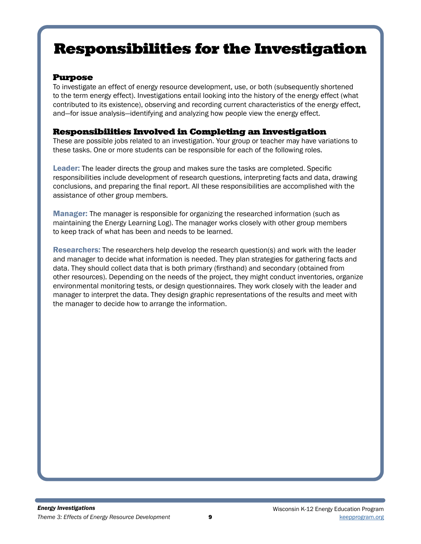# Responsibilities for the Investigation

# Purpose

To investigate an effect of energy resource development, use, or both (subsequently shortened to the term energy effect). Investigations entail looking into the history of the energy effect (what contributed to its existence), observing and recording current characteristics of the energy effect, and—for issue analysis—identifying and analyzing how people view the energy effect.

# Responsibilities Involved in Completing an Investigation

These are possible jobs related to an investigation. Your group or teacher may have variations to these tasks. One or more students can be responsible for each of the following roles.

Leader: The leader directs the group and makes sure the tasks are completed. Specific responsibilities include development of research questions, interpreting facts and data, drawing conclusions, and preparing the final report. All these responsibilities are accomplished with the assistance of other group members.

Manager: The manager is responsible for organizing the researched information (such as maintaining the Energy Learning Log). The manager works closely with other group members to keep track of what has been and needs to be learned.

**Researchers:** The researchers help develop the research question(s) and work with the leader and manager to decide what information is needed. They plan strategies for gathering facts and data. They should collect data that is both primary (firsthand) and secondary (obtained from other resources). Depending on the needs of the project, they might conduct inventories, organize environmental monitoring tests, or design questionnaires. They work closely with the leader and manager to interpret the data. They design graphic representations of the results and meet with the manager to decide how to arrange the information.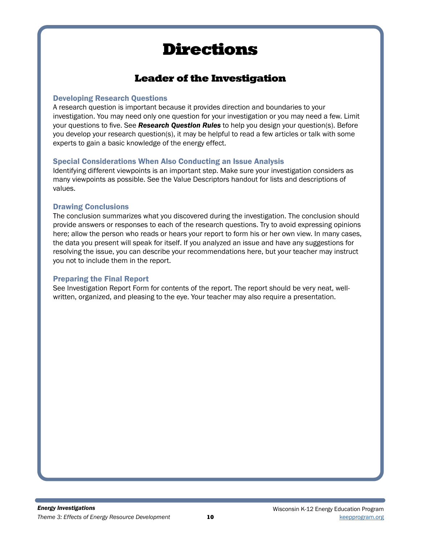# Directions

# Leader of the Investigation

# Developing Research Questions

A research question is important because it provides direction and boundaries to your investigation. You may need only one question for your investigation or you may need a few. Limit your questions to five. See *Research Question Rules* to help you design your question(s). Before you develop your research question(s), it may be helpful to read a few articles or talk with some experts to gain a basic knowledge of the energy effect.

# Special Considerations When Also Conducting an Issue Analysis

Identifying different viewpoints is an important step. Make sure your investigation considers as many viewpoints as possible. See the Value Descriptors handout for lists and descriptions of values.

# Drawing Conclusions

The conclusion summarizes what you discovered during the investigation. The conclusion should provide answers or responses to each of the research questions. Try to avoid expressing opinions here; allow the person who reads or hears your report to form his or her own view. In many cases, the data you present will speak for itself. If you analyzed an issue and have any suggestions for resolving the issue, you can describe your recommendations here, but your teacher may instruct you not to include them in the report.

# Preparing the Final Report

See Investigation Report Form for contents of the report. The report should be very neat, wellwritten, organized, and pleasing to the eye. Your teacher may also require a presentation.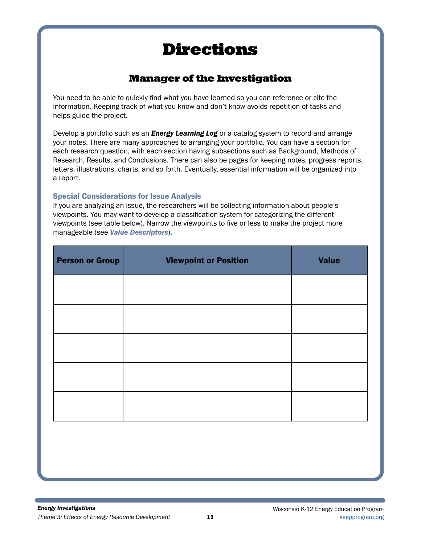# Directions

# Manager of the Investigation

You need to be able to quickly find what you have learned so you can reference or cite the information. Keeping track of what you know and don't know avoids repetition of tasks and helps guide the project.

Develop a portfolio such as an *Energy Learning Log* or a catalog system to record and arrange your notes. There are many approaches to arranging your portfolio. You can have a section for each research question, with each section having subsections such as Background, Methods of Research, Results, and Conclusions. There can also be pages for keeping notes, progress reports, letters, illustrations, charts, and so forth. Eventually, essential information will be organized into a report.

# Special Considerations for Issue Analysis

If you are analyzing an issue, the researchers will be collecting information about people's viewpoints. You may want to develop a classification system for categorizing the different viewpoints (see table below). Narrow the viewpoints to five or less to make the project more manageable (see *Value Descriptors*).

| <b>Person or Group</b> | <b>Viewpoint or Position</b> | <b>Value</b> |  |  |
|------------------------|------------------------------|--------------|--|--|
|                        |                              |              |  |  |
|                        |                              |              |  |  |
|                        |                              |              |  |  |
|                        |                              |              |  |  |
|                        |                              |              |  |  |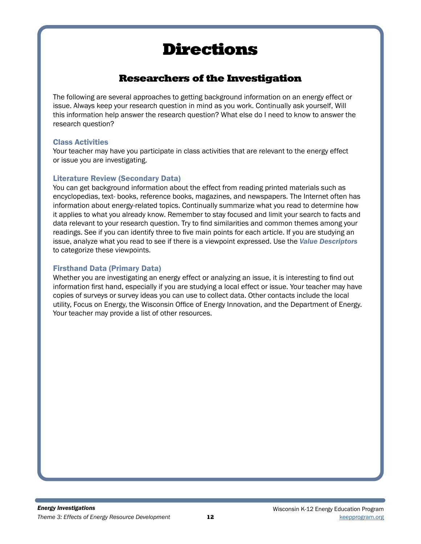# Directions

# Researchers of the Investigation

The following are several approaches to getting background information on an energy effect or issue. Always keep your research question in mind as you work. Continually ask yourself, Will this information help answer the research question? What else do I need to know to answer the research question?

# Class Activities

Your teacher may have you participate in class activities that are relevant to the energy effect or issue you are investigating.

# Literature Review (Secondary Data)

You can get background information about the effect from reading printed materials such as encyclopedias, text- books, reference books, magazines, and newspapers. The Internet often has information about energy-related topics. Continually summarize what you read to determine how it applies to what you already know. Remember to stay focused and limit your search to facts and data relevant to your research question. Try to find similarities and common themes among your readings. See if you can identify three to five main points for each article. If you are studying an issue, analyze what you read to see if there is a viewpoint expressed. Use the *Value Descriptors* to categorize these viewpoints.

# Firsthand Data (Primary Data)

Whether you are investigating an energy effect or analyzing an issue, it is interesting to find out information first hand, especially if you are studying a local effect or issue. Your teacher may have copies of surveys or survey ideas you can use to collect data. Other contacts include the local utility, Focus on Energy, the Wisconsin Office of Energy Innovation, and the Department of Energy. Your teacher may provide a list of other resources.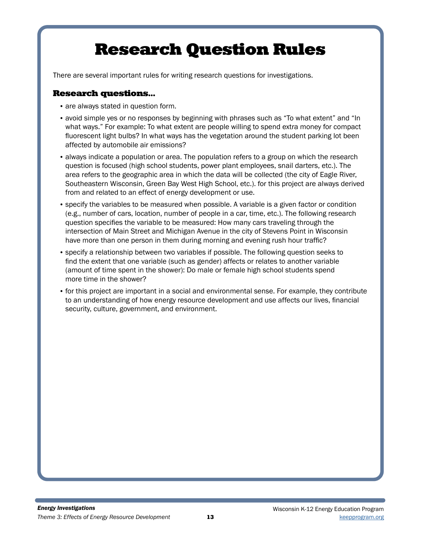# Research Question Rules

There are several important rules for writing research questions for investigations.

# Research questions…

- are always stated in question form.
- avoid simple yes or no responses by beginning with phrases such as "To what extent" and "In what ways." For example: To what extent are people willing to spend extra money for compact fluorescent light bulbs? In what ways has the vegetation around the student parking lot been affected by automobile air emissions?
- always indicate a population or area. The population refers to a group on which the research question is focused (high school students, power plant employees, snail darters, etc.). The area refers to the geographic area in which the data will be collected (the city of Eagle River, Southeastern Wisconsin, Green Bay West High School, etc.). for this project are always derived from and related to an effect of energy development or use.
- specify the variables to be measured when possible. A variable is a given factor or condition (e.g., number of cars, location, number of people in a car, time, etc.). The following research question specifies the variable to be measured: How many cars traveling through the intersection of Main Street and Michigan Avenue in the city of Stevens Point in Wisconsin have more than one person in them during morning and evening rush hour traffic?
- specify a relationship between two variables if possible. The following question seeks to find the extent that one variable (such as gender) affects or relates to another variable (amount of time spent in the shower): Do male or female high school students spend more time in the shower?
- for this project are important in a social and environmental sense. For example, they contribute to an understanding of how energy resource development and use affects our lives, financial security, culture, government, and environment.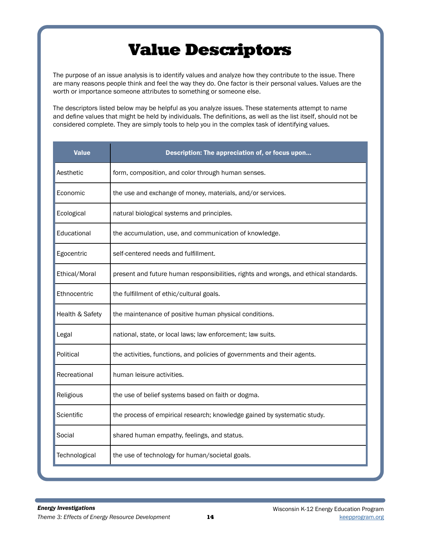# Value Descriptors

The purpose of an issue analysis is to identify values and analyze how they contribute to the issue. There are many reasons people think and feel the way they do. One factor is their personal values. Values are the worth or importance someone attributes to something or someone else.

The descriptors listed below may be helpful as you analyze issues. These statements attempt to name and define values that might be held by individuals. The definitions, as well as the list itself, should not be considered complete. They are simply tools to help you in the complex task of identifying values.

| <b>Value</b>    | Description: The appreciation of, or focus upon                                      |
|-----------------|--------------------------------------------------------------------------------------|
| Aesthetic       | form, composition, and color through human senses.                                   |
| Economic        | the use and exchange of money, materials, and/or services.                           |
| Ecological      | natural biological systems and principles.                                           |
| Educational     | the accumulation, use, and communication of knowledge.                               |
| Egocentric      | self-centered needs and fulfillment.                                                 |
| Ethical/Moral   | present and future human responsibilities, rights and wrongs, and ethical standards. |
| Ethnocentric    | the fulfillment of ethic/cultural goals.                                             |
| Health & Safety | the maintenance of positive human physical conditions.                               |
| Legal           | national, state, or local laws; law enforcement; law suits.                          |
| Political       | the activities, functions, and policies of governments and their agents.             |
| Recreational    | human leisure activities.                                                            |
| Religious       | the use of belief systems based on faith or dogma.                                   |
| Scientific      | the process of empirical research; knowledge gained by systematic study.             |
| Social          | shared human empathy, feelings, and status.                                          |
| Technological   | the use of technology for human/societal goals.                                      |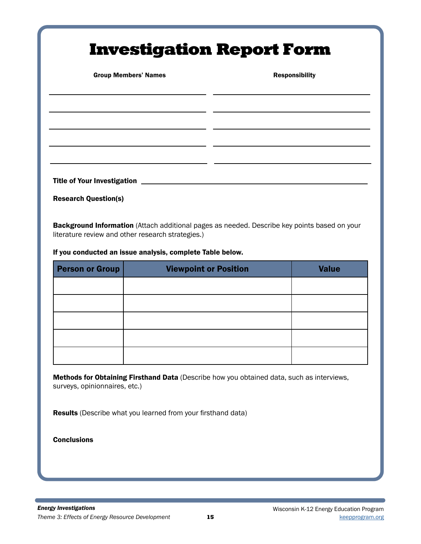# Investigation Report Form

Group Members' Names **Responsibility** 

Title of Your Investigation **contains the Contract Oriental Contract Contract Contract Control** 

Research Question(s)

**Background Information** (Attach additional pages as needed. Describe key points based on your literature review and other research strategies.)

If you conducted an issue analysis, complete Table below.

| <b>Person or Group</b> | <b>Viewpoint or Position</b> | <b>Value</b> |  |
|------------------------|------------------------------|--------------|--|
|                        |                              |              |  |
|                        |                              |              |  |
|                        |                              |              |  |
|                        |                              |              |  |
|                        |                              |              |  |

Methods for Obtaining Firsthand Data (Describe how you obtained data, such as interviews, surveys, opinionnaires, etc.)

Results (Describe what you learned from your firsthand data)

**Conclusions**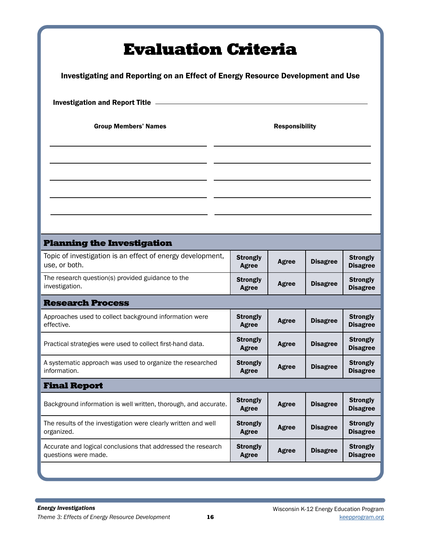| <b>Evaluation Criteria</b><br>Investigating and Reporting on an Effect of Energy Resource Development and Use |                                 |              |                 |                                    |  |  |
|---------------------------------------------------------------------------------------------------------------|---------------------------------|--------------|-----------------|------------------------------------|--|--|
| <b>Investigation and Report Title _____</b>                                                                   |                                 |              |                 |                                    |  |  |
| <b>Group Members' Names</b>                                                                                   | <b>Responsibility</b>           |              |                 |                                    |  |  |
|                                                                                                               |                                 |              |                 |                                    |  |  |
|                                                                                                               |                                 |              |                 |                                    |  |  |
|                                                                                                               |                                 |              |                 |                                    |  |  |
|                                                                                                               |                                 |              |                 |                                    |  |  |
| <b>Planning the Investigation</b>                                                                             |                                 |              |                 |                                    |  |  |
| Topic of investigation is an effect of energy development,<br>use, or both.                                   | <b>Strongly</b><br><b>Agree</b> | <b>Agree</b> | <b>Disagree</b> | <b>Strongly</b><br><b>Disagree</b> |  |  |
| The research question(s) provided guidance to the<br>investigation.                                           | <b>Strongly</b><br>Agree        | Agree        | <b>Disagree</b> | <b>Strongly</b><br><b>Disagree</b> |  |  |
| <b>Research Process</b>                                                                                       |                                 |              |                 |                                    |  |  |
| Approaches used to collect background information were<br>effective.                                          | <b>Strongly</b><br><b>Agree</b> | Agree        | <b>Disagree</b> | <b>Strongly</b><br><b>Disagree</b> |  |  |
| Practical strategies were used to collect first-hand data.                                                    | <b>Strongly</b><br><b>Agree</b> | <b>Agree</b> | <b>Disagree</b> | <b>Strongly</b><br><b>Disagree</b> |  |  |
| A systematic approach was used to organize the researched<br>information.                                     | <b>Strongly</b><br><b>Agree</b> | <b>Agree</b> | <b>Disagree</b> | <b>Strongly</b><br><b>Disagree</b> |  |  |
| <b>Final Report</b>                                                                                           |                                 |              |                 |                                    |  |  |
| Background information is well written, thorough, and accurate.                                               | <b>Strongly</b><br><b>Agree</b> | <b>Agree</b> | <b>Disagree</b> | <b>Strongly</b><br><b>Disagree</b> |  |  |
| The results of the investigation were clearly written and well<br>organized.                                  | <b>Strongly</b><br><b>Agree</b> | <b>Agree</b> | <b>Disagree</b> | <b>Strongly</b><br><b>Disagree</b> |  |  |
| Accurate and logical conclusions that addressed the research<br>questions were made.                          | <b>Strongly</b><br><b>Agree</b> | <b>Agree</b> | <b>Disagree</b> | <b>Strongly</b><br><b>Disagree</b> |  |  |
|                                                                                                               |                                 |              |                 |                                    |  |  |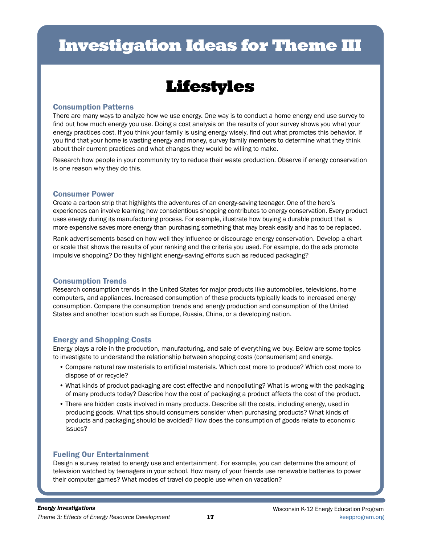# Investigation Ideas for Theme III

# Lifestyles

### Consumption Patterns

There are many ways to analyze how we use energy. One way is to conduct a home energy end use survey to find out how much energy you use. Doing a cost analysis on the results of your survey shows you what your energy practices cost. If you think your family is using energy wisely, find out what promotes this behavior. If you find that your home is wasting energy and money, survey family members to determine what they think about their current practices and what changes they would be willing to make.

Research how people in your community try to reduce their waste production. Observe if energy conservation is one reason why they do this.

#### Consumer Power

Create a cartoon strip that highlights the adventures of an energy-saving teenager. One of the hero's experiences can involve learning how conscientious shopping contributes to energy conservation. Every product uses energy during its manufacturing process. For example, illustrate how buying a durable product that is more expensive saves more energy than purchasing something that may break easily and has to be replaced.

Rank advertisements based on how well they influence or discourage energy conservation. Develop a chart or scale that shows the results of your ranking and the criteria you used. For example, do the ads promote impulsive shopping? Do they highlight energy-saving efforts such as reduced packaging?

### Consumption Trends

Research consumption trends in the United States for major products like automobiles, televisions, home computers, and appliances. Increased consumption of these products typically leads to increased energy consumption. Compare the consumption trends and energy production and consumption of the United States and another location such as Europe, Russia, China, or a developing nation.

# Energy and Shopping Costs

Energy plays a role in the production, manufacturing, and sale of everything we buy. Below are some topics to investigate to understand the relationship between shopping costs (consumerism) and energy.

- Compare natural raw materials to artificial materials. Which cost more to produce? Which cost more to dispose of or recycle?
- What kinds of product packaging are cost effective and nonpolluting? What is wrong with the packaging of many products today? Describe how the cost of packaging a product affects the cost of the product.
- There are hidden costs involved in many products. Describe all the costs, including energy, used in producing goods. What tips should consumers consider when purchasing products? What kinds of products and packaging should be avoided? How does the consumption of goods relate to economic issues?

### Fueling Our Entertainment

Design a survey related to energy use and entertainment. For example, you can determine the amount of television watched by teenagers in your school. How many of your friends use renewable batteries to power their computer games? What modes of travel do people use when on vacation?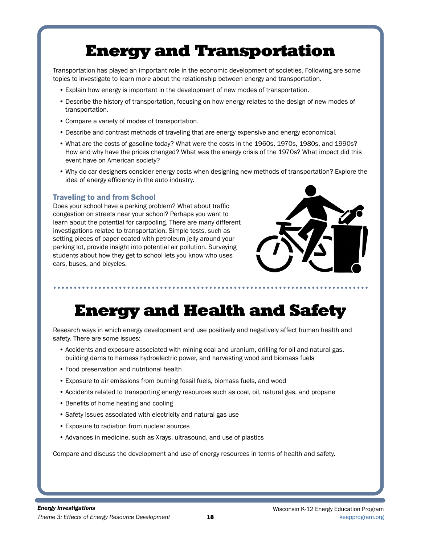# Energy and Transportation

Transportation has played an important role in the economic development of societies. Following are some topics to investigate to learn more about the relationship between energy and transportation.

- Explain how energy is important in the development of new modes of transportation.
- Describe the history of transportation, focusing on how energy relates to the design of new modes of transportation.
- Compare a variety of modes of transportation.
- Describe and contrast methods of traveling that are energy expensive and energy economical.
- What are the costs of gasoline today? What were the costs in the 1960s, 1970s, 1980s, and 1990s? How and why have the prices changed? What was the energy crisis of the 1970s? What impact did this event have on American society?
- Why do car designers consider energy costs when designing new methods of transportation? Explore the idea of energy efficiency in the auto industry.

### Traveling to and from School

Does your school have a parking problem? What about traffic congestion on streets near your school? Perhaps you want to learn about the potential for carpooling. There are many different investigations related to transportation. Simple tests, such as setting pieces of paper coated with petroleum jelly around your parking lot, provide insight into potential air pollution. Surveying students about how they get to school lets you know who uses cars, buses, and bicycles.



# Energy and Health and Safety

Research ways in which energy development and use positively and negatively affect human health and safety. There are some issues:

- Accidents and exposure associated with mining coal and uranium, drilling for oil and natural gas, building dams to harness hydroelectric power, and harvesting wood and biomass fuels
- Food preservation and nutritional health
- Exposure to air emissions from burning fossil fuels, biomass fuels, and wood
- Accidents related to transporting energy resources such as coal, oil, natural gas, and propane
- Benefits of home heating and cooling
- Safety issues associated with electricity and natural gas use
- Exposure to radiation from nuclear sources
- Advances in medicine, such as Xrays, ultrasound, and use of plastics

Compare and discuss the development and use of energy resources in terms of health and safety.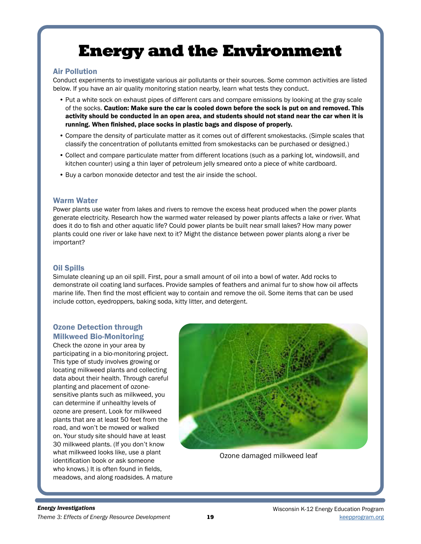# Energy and the Environment

#### Air Pollution

Conduct experiments to investigate various air pollutants or their sources. Some common activities are listed below. If you have an air quality monitoring station nearby, learn what tests they conduct.

- Put a white sock on exhaust pipes of different cars and compare emissions by looking at the gray scale of the socks. Caution: Make sure the car is cooled down before the sock is put on and removed. This activity should be conducted in an open area, and students should not stand near the car when it is running. When finished, place socks in plastic bags and dispose of properly.
- Compare the density of particulate matter as it comes out of different smokestacks. (Simple scales that classify the concentration of pollutants emitted from smokestacks can be purchased or designed.)
- Collect and compare particulate matter from different locations (such as a parking lot, windowsill, and kitchen counter) using a thin layer of petroleum jelly smeared onto a piece of white cardboard.
- Buy a carbon monoxide detector and test the air inside the school.

#### Warm Water

Power plants use water from lakes and rivers to remove the excess heat produced when the power plants generate electricity. Research how the warmed water released by power plants affects a lake or river. What does it do to fish and other aquatic life? Could power plants be built near small lakes? How many power plants could one river or lake have next to it? Might the distance between power plants along a river be important?

#### Oil Spills

Simulate cleaning up an oil spill. First, pour a small amount of oil into a bowl of water. Add rocks to demonstrate oil coating land surfaces. Provide samples of feathers and animal fur to show how oil affects marine life. Then find the most efficient way to contain and remove the oil. Some items that can be used include cotton, eyedroppers, baking soda, kitty litter, and detergent.

### Ozone Detection through Milkweed Bio-Monitoring

Check the ozone in your area by participating in a bio-monitoring project. This type of study involves growing or locating milkweed plants and collecting data about their health. Through careful planting and placement of ozonesensitive plants such as milkweed, you can determine if unhealthy levels of ozone are present. Look for milkweed plants that are at least 50 feet from the road, and won't be mowed or walked on. Your study site should have at least 30 milkweed plants. (If you don't know what milkweed looks like, use a plant identification book or ask someone who knows.) It is often found in fields, meadows, and along roadsides. A mature



Ozone damaged milkweed leaf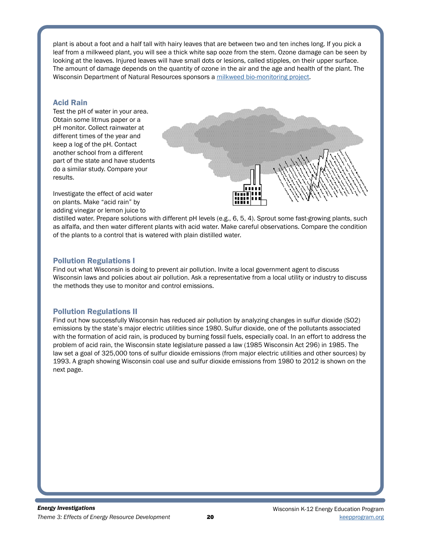plant is about a foot and a half tall with hairy leaves that are between two and ten inches long. If you pick a leaf from a milkweed plant, you will see a thick white sap ooze from the stem. Ozone damage can be seen by looking at the leaves. Injured leaves will have small dots or lesions, called stipples, on their upper surface. The amount of damage depends on the quantity of ozone in the air and the age and health of the plant. The Wisconsin Department of Natural Resources sponsors a [milkweed bio-monitoring project.](https://eekwi.org/teacher/milkweedmonitoring.htm)

#### Acid Rain

Test the pH of water in your area. Obtain some litmus paper or a pH monitor. Collect rainwater at different times of the year and keep a log of the pH. Contact another school from a different part of the state and have students do a similar study. Compare your results.



Investigate the effect of acid water on plants. Make "acid rain" by adding vinegar or lemon juice to

distilled water. Prepare solutions with different pH levels (e.g., 6, 5, 4). Sprout some fast-growing plants, such as alfalfa, and then water different plants with acid water. Make careful observations. Compare the condition of the plants to a control that is watered with plain distilled water.

#### Pollution Regulations I

Find out what Wisconsin is doing to prevent air pollution. Invite a local government agent to discuss Wisconsin laws and policies about air pollution. Ask a representative from a local utility or industry to discuss the methods they use to monitor and control emissions.

### Pollution Regulations II

Find out how successfully Wisconsin has reduced air pollution by analyzing changes in sulfur dioxide (SO2) emissions by the state's major electric utilities since 1980. Sulfur dioxide, one of the pollutants associated with the formation of acid rain, is produced by burning fossil fuels, especially coal. In an effort to address the problem of acid rain, the Wisconsin state legislature passed a law (1985 Wisconsin Act 296) in 1985. The law set a goal of 325,000 tons of sulfur dioxide emissions (from major electric utilities and other sources) by 1993. A graph showing Wisconsin coal use and sulfur dioxide emissions from 1980 to 2012 is shown on the next page.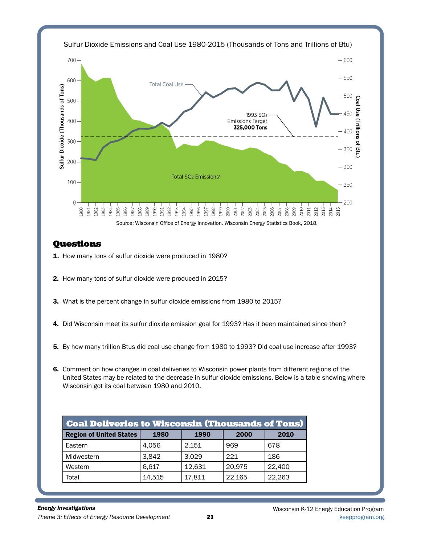

# **Questions**

- 1. How many tons of sulfur dioxide were produced in 1980?
- 2. How many tons of sulfur dioxide were produced in 2015?
- 3. What is the percent change in sulfur dioxide emissions from 1980 to 2015?
- 4. Did Wisconsin meet its sulfur dioxide emission goal for 1993? Has it been maintained since then?
- 5. By how many trillion Btus did coal use change from 1980 to 1993? Did coal use increase after 1993?
- 6. Comment on how changes in coal deliveries to Wisconsin power plants from different regions of the United States may be related to the decrease in sulfur dioxide emissions. Below is a table showing where Wisconsin got its coal between 1980 and 2010.

| <b>Coal Deliveries to Wisconsin (Thousands of Tons)</b> |        |        |        |        |  |  |  |  |
|---------------------------------------------------------|--------|--------|--------|--------|--|--|--|--|
| <b>Region of United States</b>                          | 1980   | 1990   | 2000   | 2010   |  |  |  |  |
| Eastern                                                 | 4,056  | 2,151  | 969    | 678    |  |  |  |  |
| Midwestern                                              | 3,842  | 3,029  | 221    | 186    |  |  |  |  |
| Western                                                 | 6.617  | 12,631 | 20,975 | 22,400 |  |  |  |  |
| Total                                                   | 14,515 | 17,811 | 22,165 | 22,263 |  |  |  |  |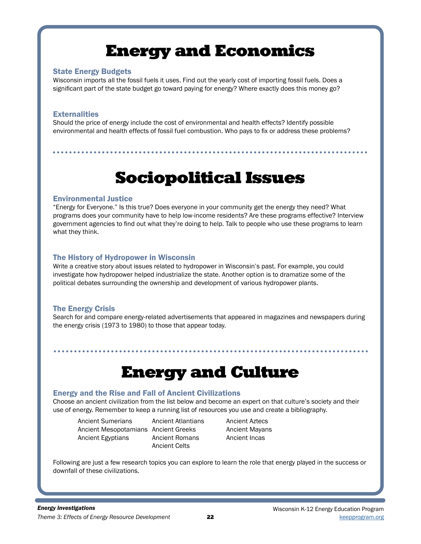# Energy and Economics

#### State Energy Budgets

Wisconsin imports all the fossil fuels it uses. Find out the yearly cost of importing fossil fuels. Does a significant part of the state budget go toward paying for energy? Where exactly does this money go?

### **Externalities**

Should the price of energy include the cost of environmental and health effects? Identify possible environmental and health effects of fossil fuel combustion. Who pays to fix or address these problems?

# Sociopolitical Issues

### Environmental Justice

"Energy for Everyone." Is this true? Does everyone in your community get the energy they need? What programs does your community have to help low-income residents? Are these programs effective? Interview government agencies to find out what they're doing to help. Talk to people who use these programs to learn what they think.

# The History of Hydropower in Wisconsin

Write a creative story about issues related to hydropower in Wisconsin's past. For example, you could investigate how hydropower helped industrialize the state. Another option is to dramatize some of the political debates surrounding the ownership and development of various hydropower plants.

# The Energy Crisis

Search for and compare energy-related advertisements that appeared in magazines and newspapers during the energy crisis (1973 to 1980) to those that appear today.

# Energy and Culture

# Energy and the Rise and Fall of Ancient Civilizations

. . . . . . . . . . . .

Choose an ancient civilization from the list below and become an expert on that culture's society and their use of energy. Remember to keep a running list of resources you use and create a bibliography.

Ancient Sumerians Ancient Atlantians Ancient Aztecs Ancient Mesopotamians Ancient Greeks Ancient Mayans Ancient Egyptians Ancient Romans Ancient Incas

Ancient Celts

Following are just a few research topics you can explore to learn the role that energy played in the success or downfall of these civilizations.